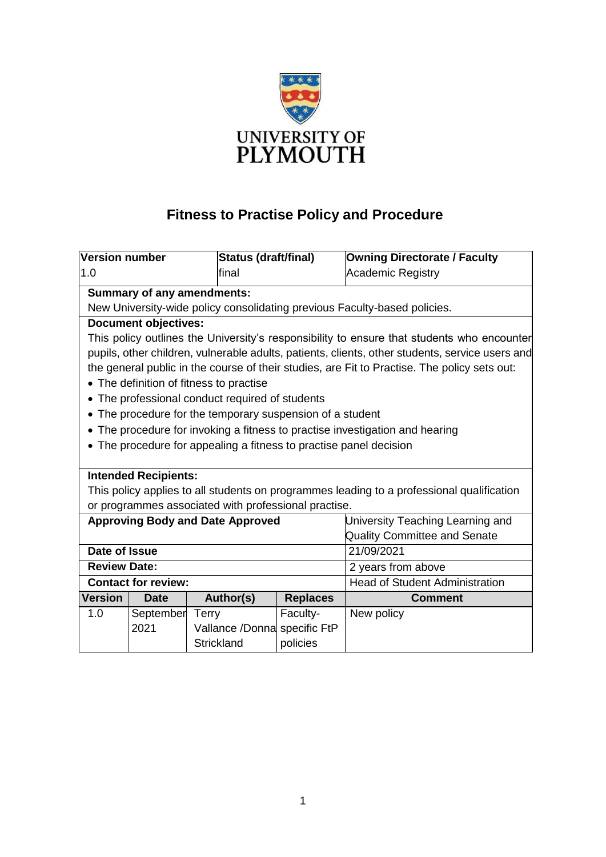

# **Fitness to Practise Policy and Procedure**

| <b>Version number</b>                                                                           |                                                                    | Status (draft/final)                    |                                       | <b>Owning Directorate / Faculty</b> |  |  |  |
|-------------------------------------------------------------------------------------------------|--------------------------------------------------------------------|-----------------------------------------|---------------------------------------|-------------------------------------|--|--|--|
| 1.0                                                                                             |                                                                    | final                                   |                                       | <b>Academic Registry</b>            |  |  |  |
| <b>Summary of any amendments:</b>                                                               |                                                                    |                                         |                                       |                                     |  |  |  |
| New University-wide policy consolidating previous Faculty-based policies.                       |                                                                    |                                         |                                       |                                     |  |  |  |
| <b>Document objectives:</b>                                                                     |                                                                    |                                         |                                       |                                     |  |  |  |
| This policy outlines the University's responsibility to ensure that students who encounter      |                                                                    |                                         |                                       |                                     |  |  |  |
| pupils, other children, vulnerable adults, patients, clients, other students, service users and |                                                                    |                                         |                                       |                                     |  |  |  |
| the general public in the course of their studies, are Fit to Practise. The policy sets out:    |                                                                    |                                         |                                       |                                     |  |  |  |
| • The definition of fitness to practise                                                         |                                                                    |                                         |                                       |                                     |  |  |  |
| • The professional conduct required of students                                                 |                                                                    |                                         |                                       |                                     |  |  |  |
| • The procedure for the temporary suspension of a student                                       |                                                                    |                                         |                                       |                                     |  |  |  |
| • The procedure for invoking a fitness to practise investigation and hearing                    |                                                                    |                                         |                                       |                                     |  |  |  |
|                                                                                                 | • The procedure for appealing a fitness to practise panel decision |                                         |                                       |                                     |  |  |  |
|                                                                                                 |                                                                    |                                         |                                       |                                     |  |  |  |
| <b>Intended Recipients:</b>                                                                     |                                                                    |                                         |                                       |                                     |  |  |  |
| This policy applies to all students on programmes leading to a professional qualification       |                                                                    |                                         |                                       |                                     |  |  |  |
| or programmes associated with professional practise.                                            |                                                                    |                                         |                                       |                                     |  |  |  |
|                                                                                                 |                                                                    | <b>Approving Body and Date Approved</b> | University Teaching Learning and      |                                     |  |  |  |
|                                                                                                 |                                                                    |                                         | <b>Quality Committee and Senate</b>   |                                     |  |  |  |
| Date of Issue                                                                                   |                                                                    |                                         | 21/09/2021                            |                                     |  |  |  |
| <b>Review Date:</b>                                                                             |                                                                    |                                         | 2 years from above                    |                                     |  |  |  |
|                                                                                                 | <b>Contact for review:</b>                                         |                                         | <b>Head of Student Administration</b> |                                     |  |  |  |
| <b>Version</b>                                                                                  | <b>Date</b>                                                        | Author(s)                               | <b>Replaces</b>                       | <b>Comment</b>                      |  |  |  |
| 1.0                                                                                             | September                                                          | <b>Terry</b>                            | Faculty-                              | New policy                          |  |  |  |
|                                                                                                 | 2021                                                               | Vallance /Donna specific FtP            |                                       |                                     |  |  |  |
|                                                                                                 |                                                                    | Strickland                              | policies                              |                                     |  |  |  |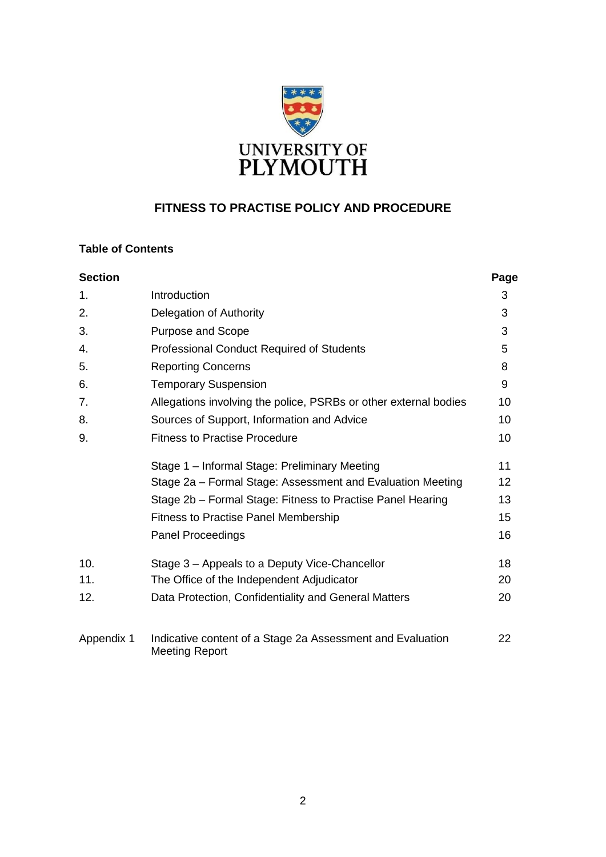

## **FITNESS TO PRACTISE POLICY AND PROCEDURE**

## **Table of Contents**

| <b>Section</b> |                                                                                     | Page |
|----------------|-------------------------------------------------------------------------------------|------|
| 1.             | Introduction                                                                        | 3    |
| 2.             | Delegation of Authority                                                             | 3    |
| 3.             | <b>Purpose and Scope</b>                                                            | 3    |
| 4.             | Professional Conduct Required of Students                                           | 5    |
| 5.             | <b>Reporting Concerns</b>                                                           | 8    |
| 6.             | <b>Temporary Suspension</b>                                                         | 9    |
| 7.             | Allegations involving the police, PSRBs or other external bodies                    | 10   |
| 8.             | Sources of Support, Information and Advice                                          | 10   |
| 9.             | <b>Fitness to Practise Procedure</b>                                                |      |
|                | Stage 1 - Informal Stage: Preliminary Meeting                                       | 11   |
|                | Stage 2a – Formal Stage: Assessment and Evaluation Meeting                          | 12   |
|                | Stage 2b - Formal Stage: Fitness to Practise Panel Hearing                          | 13   |
|                | <b>Fitness to Practise Panel Membership</b>                                         | 15   |
|                | <b>Panel Proceedings</b>                                                            | 16   |
| 10.            | Stage 3 – Appeals to a Deputy Vice-Chancellor                                       | 18   |
| 11.            | The Office of the Independent Adjudicator                                           | 20   |
| 12.            | Data Protection, Confidentiality and General Matters                                | 20   |
| Appendix 1     | Indicative content of a Stage 2a Assessment and Evaluation<br><b>Meeting Report</b> | 22   |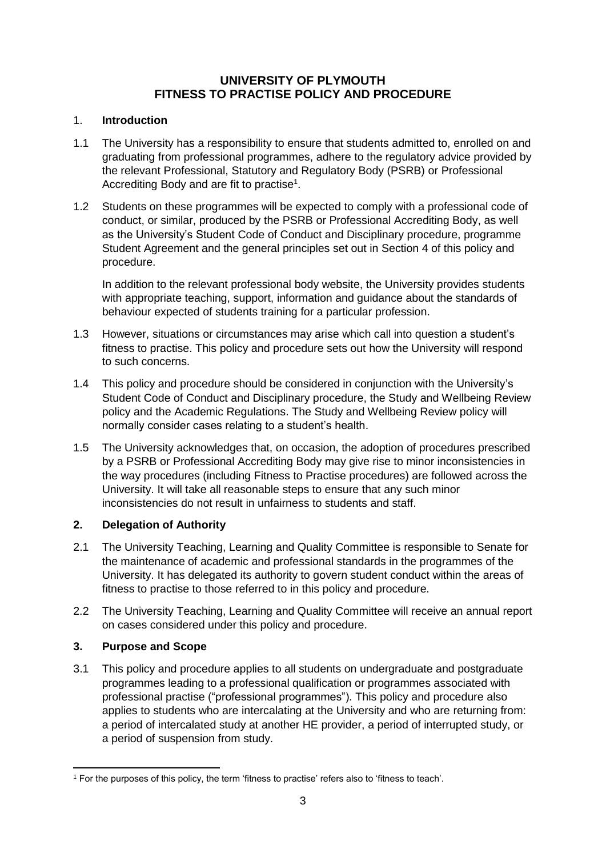## **UNIVERSITY OF PLYMOUTH FITNESS TO PRACTISE POLICY AND PROCEDURE**

## 1. **Introduction**

- 1.1 The University has a responsibility to ensure that students admitted to, enrolled on and graduating from professional programmes, adhere to the regulatory advice provided by the relevant Professional, Statutory and Regulatory Body (PSRB) or Professional Accrediting Body and are fit to practise<sup>1</sup>.
- 1.2 Students on these programmes will be expected to comply with a professional code of conduct, or similar, produced by the PSRB or Professional Accrediting Body, as well as the University's Student Code of Conduct and Disciplinary procedure, programme Student Agreement and the general principles set out in Section 4 of this policy and procedure.

In addition to the relevant professional body website, the University provides students with appropriate teaching, support, information and guidance about the standards of behaviour expected of students training for a particular profession.

- 1.3 However, situations or circumstances may arise which call into question a student's fitness to practise. This policy and procedure sets out how the University will respond to such concerns.
- 1.4 This policy and procedure should be considered in conjunction with the University's Student Code of Conduct and Disciplinary procedure, the Study and Wellbeing Review policy and the Academic Regulations. The Study and Wellbeing Review policy will normally consider cases relating to a student's health.
- 1.5 The University acknowledges that, on occasion, the adoption of procedures prescribed by a PSRB or Professional Accrediting Body may give rise to minor inconsistencies in the way procedures (including Fitness to Practise procedures) are followed across the University. It will take all reasonable steps to ensure that any such minor inconsistencies do not result in unfairness to students and staff.

## **2. Delegation of Authority**

- 2.1 The University Teaching, Learning and Quality Committee is responsible to Senate for the maintenance of academic and professional standards in the programmes of the University. It has delegated its authority to govern student conduct within the areas of fitness to practise to those referred to in this policy and procedure.
- 2.2 The University Teaching, Learning and Quality Committee will receive an annual report on cases considered under this policy and procedure.

## **3. Purpose and Scope**

1

3.1 This policy and procedure applies to all students on undergraduate and postgraduate programmes leading to a professional qualification or programmes associated with professional practise ("professional programmes"). This policy and procedure also applies to students who are intercalating at the University and who are returning from: a period of intercalated study at another HE provider, a period of interrupted study, or a period of suspension from study.

<sup>1</sup> For the purposes of this policy, the term 'fitness to practise' refers also to 'fitness to teach'.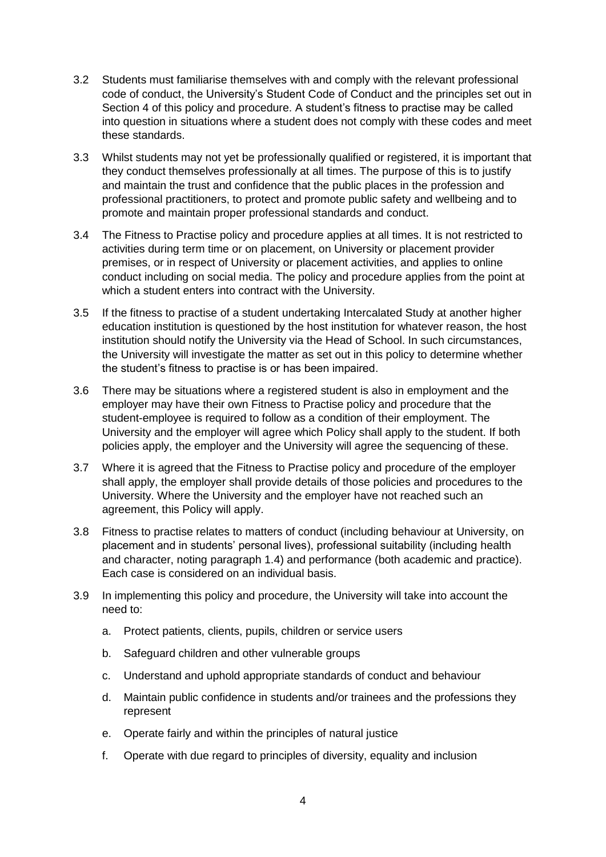- 3.2 Students must familiarise themselves with and comply with the relevant professional code of conduct, the University's Student Code of Conduct and the principles set out in Section 4 of this policy and procedure. A student's fitness to practise may be called into question in situations where a student does not comply with these codes and meet these standards.
- 3.3 Whilst students may not yet be professionally qualified or registered, it is important that they conduct themselves professionally at all times. The purpose of this is to justify and maintain the trust and confidence that the public places in the profession and professional practitioners, to protect and promote public safety and wellbeing and to promote and maintain proper professional standards and conduct.
- 3.4 The Fitness to Practise policy and procedure applies at all times. It is not restricted to activities during term time or on placement, on University or placement provider premises, or in respect of University or placement activities, and applies to online conduct including on social media. The policy and procedure applies from the point at which a student enters into contract with the University.
- 3.5 If the fitness to practise of a student undertaking Intercalated Study at another higher education institution is questioned by the host institution for whatever reason, the host institution should notify the University via the Head of School. In such circumstances, the University will investigate the matter as set out in this policy to determine whether the student's fitness to practise is or has been impaired.
- 3.6 There may be situations where a registered student is also in employment and the employer may have their own Fitness to Practise policy and procedure that the student-employee is required to follow as a condition of their employment. The University and the employer will agree which Policy shall apply to the student. If both policies apply, the employer and the University will agree the sequencing of these.
- 3.7 Where it is agreed that the Fitness to Practise policy and procedure of the employer shall apply, the employer shall provide details of those policies and procedures to the University. Where the University and the employer have not reached such an agreement, this Policy will apply.
- 3.8 Fitness to practise relates to matters of conduct (including behaviour at University, on placement and in students' personal lives), professional suitability (including health and character, noting paragraph 1.4) and performance (both academic and practice). Each case is considered on an individual basis.
- 3.9 In implementing this policy and procedure, the University will take into account the need to:
	- a. Protect patients, clients, pupils, children or service users
	- b. Safeguard children and other vulnerable groups
	- c. Understand and uphold appropriate standards of conduct and behaviour
	- d. Maintain public confidence in students and/or trainees and the professions they represent
	- e. Operate fairly and within the principles of natural justice
	- f. Operate with due regard to principles of diversity, equality and inclusion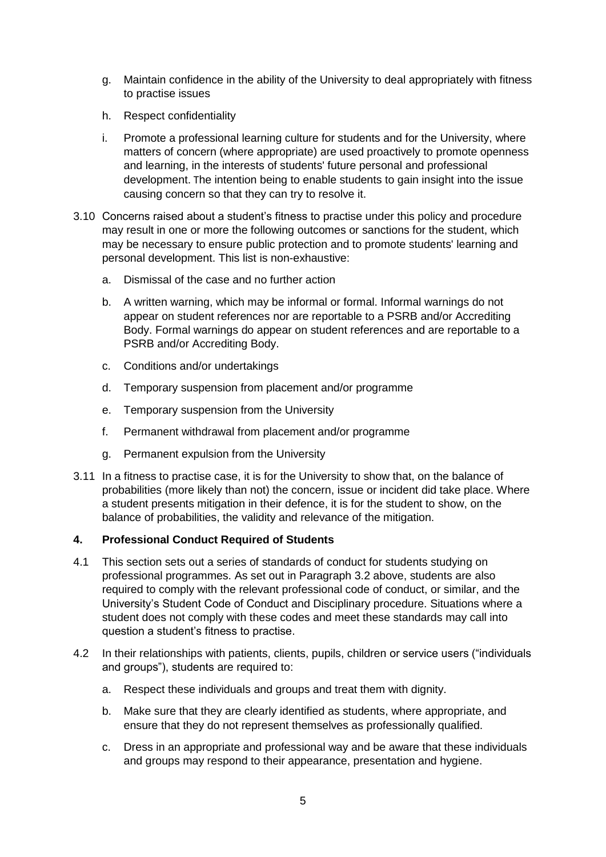- g. Maintain confidence in the ability of the University to deal appropriately with fitness to practise issues
- h. Respect confidentiality
- i. Promote a professional learning culture for students and for the University, where matters of concern (where appropriate) are used proactively to promote openness and learning, in the interests of students' future personal and professional development. The intention being to enable students to gain insight into the issue causing concern so that they can try to resolve it.
- 3.10 Concerns raised about a student's fitness to practise under this policy and procedure may result in one or more the following outcomes or sanctions for the student, which may be necessary to ensure public protection and to promote students' learning and personal development. This list is non-exhaustive:
	- a. Dismissal of the case and no further action
	- b. A written warning, which may be informal or formal. Informal warnings do not appear on student references nor are reportable to a PSRB and/or Accrediting Body. Formal warnings do appear on student references and are reportable to a PSRB and/or Accrediting Body.
	- c. Conditions and/or undertakings
	- d. Temporary suspension from placement and/or programme
	- e. Temporary suspension from the University
	- f. Permanent withdrawal from placement and/or programme
	- g. Permanent expulsion from the University
- 3.11 In a fitness to practise case, it is for the University to show that, on the balance of probabilities (more likely than not) the concern, issue or incident did take place. Where a student presents mitigation in their defence, it is for the student to show, on the balance of probabilities, the validity and relevance of the mitigation.

## **4. Professional Conduct Required of Students**

- 4.1 This section sets out a series of standards of conduct for students studying on professional programmes. As set out in Paragraph 3.2 above, students are also required to comply with the relevant professional code of conduct, or similar, and the University's Student Code of Conduct and Disciplinary procedure. Situations where a student does not comply with these codes and meet these standards may call into question a student's fitness to practise.
- 4.2 In their relationships with patients, clients, pupils, children or service users ("individuals and groups"), students are required to:
	- a. Respect these individuals and groups and treat them with dignity.
	- b. Make sure that they are clearly identified as students, where appropriate, and ensure that they do not represent themselves as professionally qualified.
	- c. Dress in an appropriate and professional way and be aware that these individuals and groups may respond to their appearance, presentation and hygiene.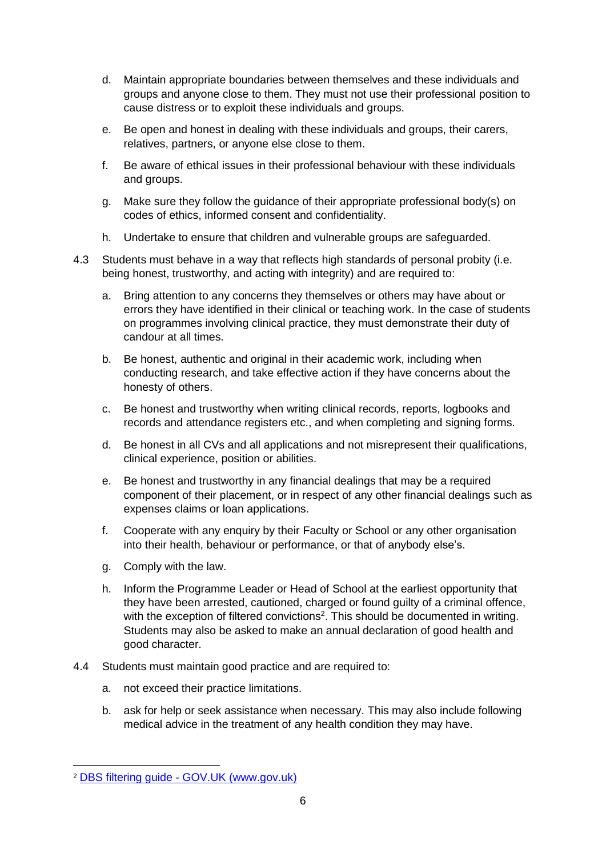- d. Maintain appropriate boundaries between themselves and these individuals and groups and anyone close to them. They must not use their professional position to cause distress or to exploit these individuals and groups.
- e. Be open and honest in dealing with these individuals and groups, their carers, relatives, partners, or anyone else close to them.
- f. Be aware of ethical issues in their professional behaviour with these individuals and groups.
- g. Make sure they follow the guidance of their appropriate professional body(s) on codes of ethics, informed consent and confidentiality.
- h. Undertake to ensure that children and vulnerable groups are safeguarded.
- 4.3 Students must behave in a way that reflects high standards of personal probity (i.e. being honest, trustworthy, and acting with integrity) and are required to:
	- a. Bring attention to any concerns they themselves or others may have about or errors they have identified in their clinical or teaching work. In the case of students on programmes involving clinical practice, they must demonstrate their duty of candour at all times.
	- b. Be honest, authentic and original in their academic work, including when conducting research, and take effective action if they have concerns about the honesty of others.
	- c. Be honest and trustworthy when writing clinical records, reports, logbooks and records and attendance registers etc., and when completing and signing forms.
	- d. Be honest in all CVs and all applications and not misrepresent their qualifications, clinical experience, position or abilities.
	- e. Be honest and trustworthy in any financial dealings that may be a required component of their placement, or in respect of any other financial dealings such as expenses claims or loan applications.
	- f. Cooperate with any enquiry by their Faculty or School or any other organisation into their health, behaviour or performance, or that of anybody else's.
	- g. Comply with the law.
	- h. Inform the Programme Leader or Head of School at the earliest opportunity that they have been arrested, cautioned, charged or found guilty of a criminal offence, with the exception of filtered convictions<sup>2</sup>. This should be documented in writing. Students may also be asked to make an annual declaration of good health and good character.
- 4.4 Students must maintain good practice and are required to:
	- a. not exceed their practice limitations.
	- b. ask for help or seek assistance when necessary. This may also include following medical advice in the treatment of any health condition they may have.

**.** 

<sup>2</sup> DBS filtering guide - [GOV.UK \(www.gov.uk\)](https://www.gov.uk/government/publications/dbs-filtering-guidance/dbs-filtering-guide)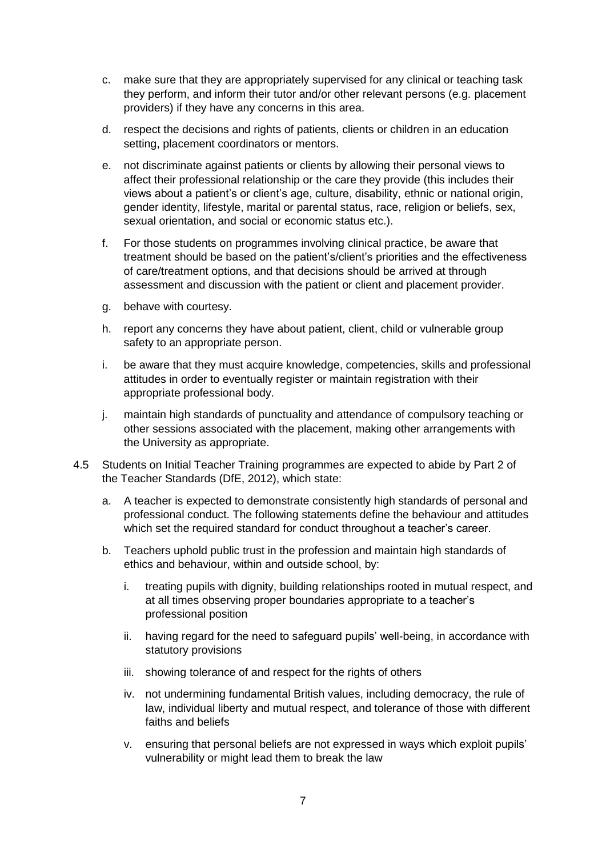- c. make sure that they are appropriately supervised for any clinical or teaching task they perform, and inform their tutor and/or other relevant persons (e.g. placement providers) if they have any concerns in this area.
- d. respect the decisions and rights of patients, clients or children in an education setting, placement coordinators or mentors.
- e. not discriminate against patients or clients by allowing their personal views to affect their professional relationship or the care they provide (this includes their views about a patient's or client's age, culture, disability, ethnic or national origin, gender identity, lifestyle, marital or parental status, race, religion or beliefs, sex, sexual orientation, and social or economic status etc.).
- f. For those students on programmes involving clinical practice, be aware that treatment should be based on the patient's/client's priorities and the effectiveness of care/treatment options, and that decisions should be arrived at through assessment and discussion with the patient or client and placement provider.
- g. behave with courtesy.
- h. report any concerns they have about patient, client, child or vulnerable group safety to an appropriate person.
- i. be aware that they must acquire knowledge, competencies, skills and professional attitudes in order to eventually register or maintain registration with their appropriate professional body.
- j. maintain high standards of punctuality and attendance of compulsory teaching or other sessions associated with the placement, making other arrangements with the University as appropriate.
- 4.5 Students on Initial Teacher Training programmes are expected to abide by Part 2 of the Teacher Standards (DfE, 2012), which state:
	- a. A teacher is expected to demonstrate consistently high standards of personal and professional conduct. The following statements define the behaviour and attitudes which set the required standard for conduct throughout a teacher's career.
	- b. Teachers uphold public trust in the profession and maintain high standards of ethics and behaviour, within and outside school, by:
		- i. treating pupils with dignity, building relationships rooted in mutual respect, and at all times observing proper boundaries appropriate to a teacher's professional position
		- ii. having regard for the need to safeguard pupils' well-being, in accordance with statutory provisions
		- iii. showing tolerance of and respect for the rights of others
		- iv. not undermining fundamental British values, including democracy, the rule of law, individual liberty and mutual respect, and tolerance of those with different faiths and beliefs
		- v. ensuring that personal beliefs are not expressed in ways which exploit pupils' vulnerability or might lead them to break the law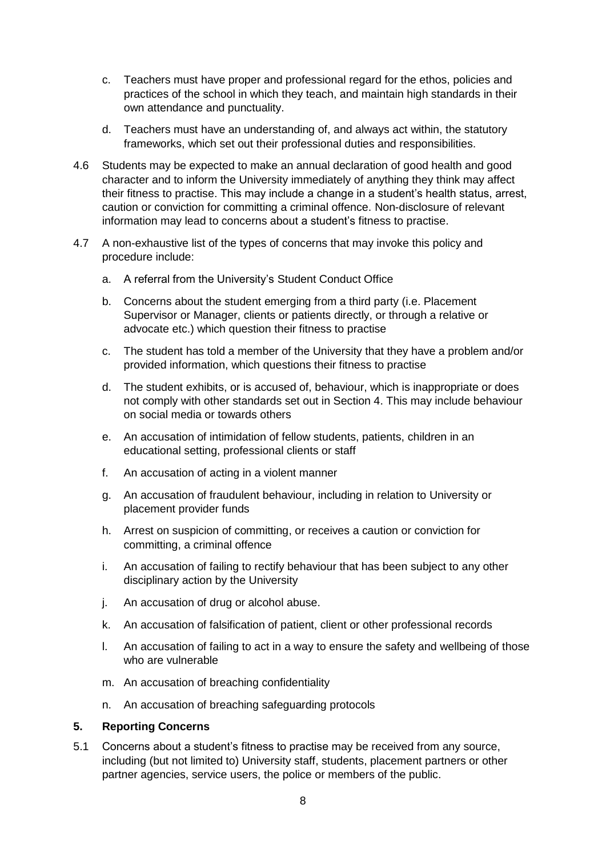- c. Teachers must have proper and professional regard for the ethos, policies and practices of the school in which they teach, and maintain high standards in their own attendance and punctuality.
- d. Teachers must have an understanding of, and always act within, the statutory frameworks, which set out their professional duties and responsibilities.
- 4.6 Students may be expected to make an annual declaration of good health and good character and to inform the University immediately of anything they think may affect their fitness to practise. This may include a change in a student's health status, arrest, caution or conviction for committing a criminal offence. Non-disclosure of relevant information may lead to concerns about a student's fitness to practise.
- 4.7 A non-exhaustive list of the types of concerns that may invoke this policy and procedure include:
	- a. A referral from the University's Student Conduct Office
	- b. Concerns about the student emerging from a third party (i.e. Placement Supervisor or Manager, clients or patients directly, or through a relative or advocate etc.) which question their fitness to practise
	- c. The student has told a member of the University that they have a problem and/or provided information, which questions their fitness to practise
	- d. The student exhibits, or is accused of, behaviour, which is inappropriate or does not comply with other standards set out in Section 4. This may include behaviour on social media or towards others
	- e. An accusation of intimidation of fellow students, patients, children in an educational setting, professional clients or staff
	- f. An accusation of acting in a violent manner
	- g. An accusation of fraudulent behaviour, including in relation to University or placement provider funds
	- h. Arrest on suspicion of committing, or receives a caution or conviction for committing, a criminal offence
	- i. An accusation of failing to rectify behaviour that has been subject to any other disciplinary action by the University
	- j. An accusation of drug or alcohol abuse.
	- k. An accusation of falsification of patient, client or other professional records
	- l. An accusation of failing to act in a way to ensure the safety and wellbeing of those who are vulnerable
	- m. An accusation of breaching confidentiality
	- n. An accusation of breaching safeguarding protocols

#### **5. Reporting Concerns**

5.1 Concerns about a student's fitness to practise may be received from any source, including (but not limited to) University staff, students, placement partners or other partner agencies, service users, the police or members of the public.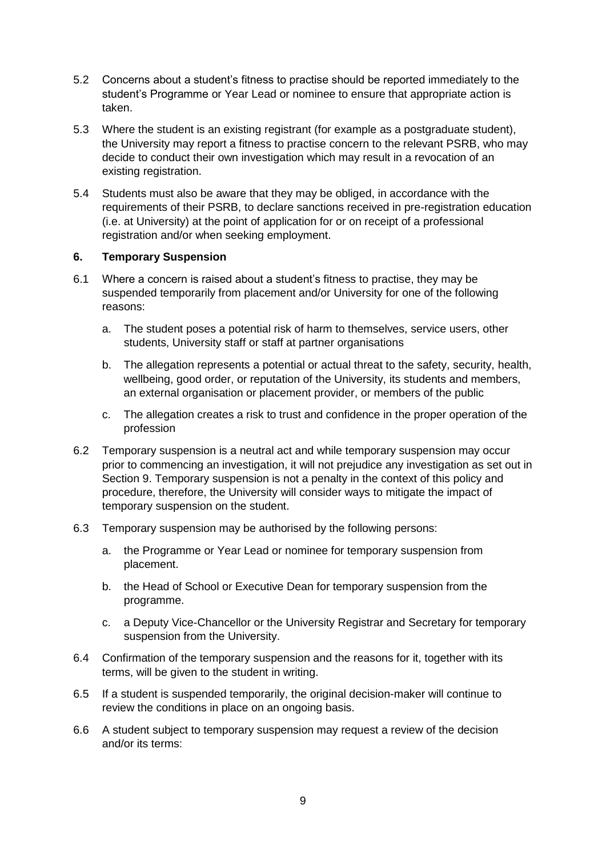- 5.2 Concerns about a student's fitness to practise should be reported immediately to the student's Programme or Year Lead or nominee to ensure that appropriate action is taken.
- 5.3 Where the student is an existing registrant (for example as a postgraduate student), the University may report a fitness to practise concern to the relevant PSRB, who may decide to conduct their own investigation which may result in a revocation of an existing registration.
- 5.4 Students must also be aware that they may be obliged, in accordance with the requirements of their PSRB, to declare sanctions received in pre-registration education (i.e. at University) at the point of application for or on receipt of a professional registration and/or when seeking employment.

## **6. Temporary Suspension**

- 6.1 Where a concern is raised about a student's fitness to practise, they may be suspended temporarily from placement and/or University for one of the following reasons:
	- a. The student poses a potential risk of harm to themselves, service users, other students, University staff or staff at partner organisations
	- b. The allegation represents a potential or actual threat to the safety, security, health, wellbeing, good order, or reputation of the University, its students and members, an external organisation or placement provider, or members of the public
	- c. The allegation creates a risk to trust and confidence in the proper operation of the profession
- 6.2 Temporary suspension is a neutral act and while temporary suspension may occur prior to commencing an investigation, it will not prejudice any investigation as set out in Section 9. Temporary suspension is not a penalty in the context of this policy and procedure, therefore, the University will consider ways to mitigate the impact of temporary suspension on the student.
- 6.3 Temporary suspension may be authorised by the following persons:
	- a. the Programme or Year Lead or nominee for temporary suspension from placement.
	- b. the Head of School or Executive Dean for temporary suspension from the programme.
	- c. a Deputy Vice-Chancellor or the University Registrar and Secretary for temporary suspension from the University.
- 6.4 Confirmation of the temporary suspension and the reasons for it, together with its terms, will be given to the student in writing.
- 6.5 If a student is suspended temporarily, the original decision-maker will continue to review the conditions in place on an ongoing basis.
- 6.6 A student subject to temporary suspension may request a review of the decision and/or its terms: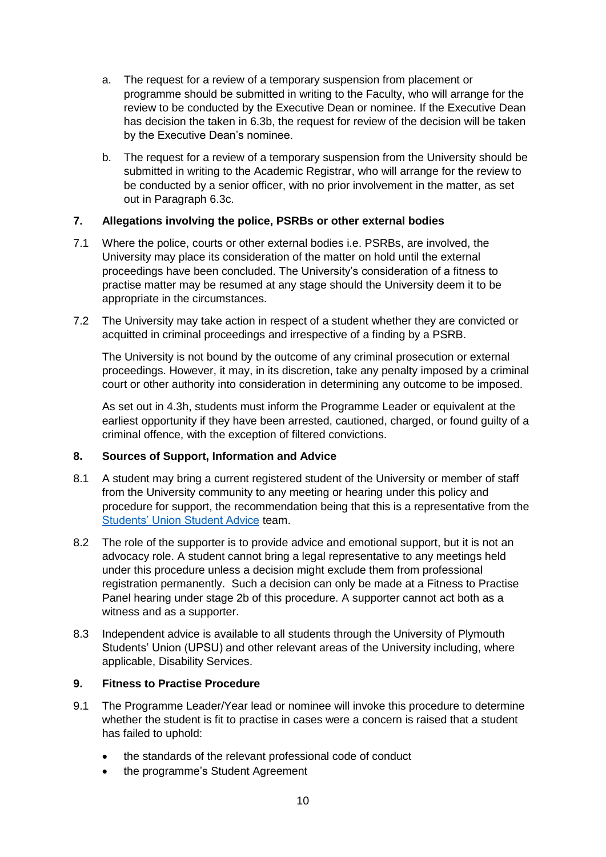- a. The request for a review of a temporary suspension from placement or programme should be submitted in writing to the Faculty, who will arrange for the review to be conducted by the Executive Dean or nominee. If the Executive Dean has decision the taken in 6.3b, the request for review of the decision will be taken by the Executive Dean's nominee.
- b. The request for a review of a temporary suspension from the University should be submitted in writing to the Academic Registrar, who will arrange for the review to be conducted by a senior officer, with no prior involvement in the matter, as set out in Paragraph 6.3c.

## **7. Allegations involving the police, PSRBs or other external bodies**

- 7.1 Where the police, courts or other external bodies i.e. PSRBs, are involved, the University may place its consideration of the matter on hold until the external proceedings have been concluded. The University's consideration of a fitness to practise matter may be resumed at any stage should the University deem it to be appropriate in the circumstances.
- 7.2 The University may take action in respect of a student whether they are convicted or acquitted in criminal proceedings and irrespective of a finding by a PSRB.

The University is not bound by the outcome of any criminal prosecution or external proceedings. However, it may, in its discretion, take any penalty imposed by a criminal court or other authority into consideration in determining any outcome to be imposed.

As set out in 4.3h, students must inform the Programme Leader or equivalent at the earliest opportunity if they have been arrested, cautioned, charged, or found guilty of a criminal offence, with the exception of filtered convictions.

#### **8. Sources of Support, Information and Advice**

- 8.1 A student may bring a current registered student of the University or member of staff from the University community to any meeting or hearing under this policy and procedure for support, the recommendation being that this is a representative from the [Students' Union Student Advice](https://www.upsu.com/advice/) team.
- 8.2 The role of the supporter is to provide advice and emotional support, but it is not an advocacy role. A student cannot bring a legal representative to any meetings held under this procedure unless a decision might exclude them from professional registration permanently. Such a decision can only be made at a Fitness to Practise Panel hearing under stage 2b of this procedure. A supporter cannot act both as a witness and as a supporter.
- 8.3 Independent advice is available to all students through the University of Plymouth Students' Union (UPSU) and other relevant areas of the University including, where applicable, Disability Services.

#### **9. Fitness to Practise Procedure**

- 9.1 The Programme Leader/Year lead or nominee will invoke this procedure to determine whether the student is fit to practise in cases were a concern is raised that a student has failed to uphold:
	- the standards of the relevant professional code of conduct
	- the programme's Student Agreement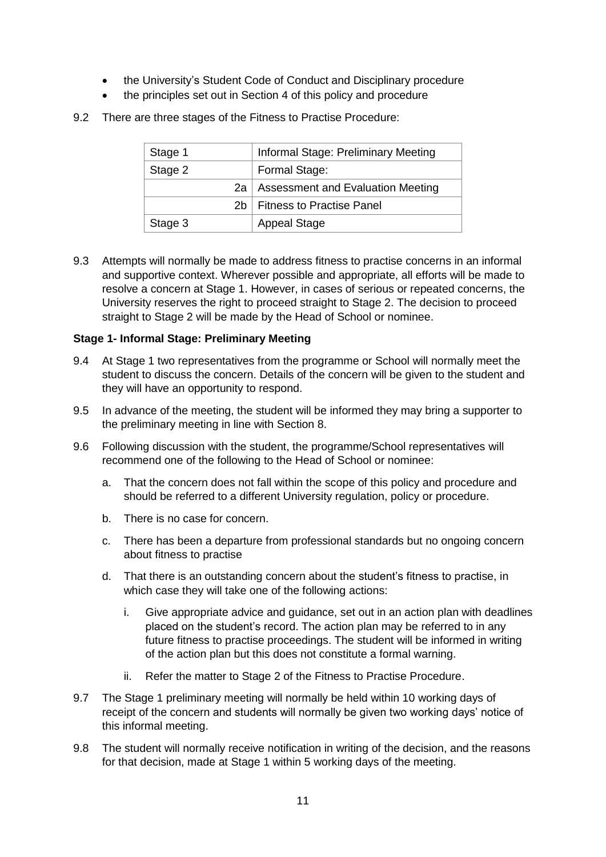- the University's Student Code of Conduct and Disciplinary procedure
- the principles set out in Section 4 of this policy and procedure
- 9.2 There are three stages of the Fitness to Practise Procedure:

| Stage 1         | Informal Stage: Preliminary Meeting |
|-----------------|-------------------------------------|
| Stage 2         | Formal Stage:                       |
| 2a              | Assessment and Evaluation Meeting   |
| 2h <sub>1</sub> | <b>Fitness to Practise Panel</b>    |
| Stage 3         | <b>Appeal Stage</b>                 |

9.3 Attempts will normally be made to address fitness to practise concerns in an informal and supportive context. Wherever possible and appropriate, all efforts will be made to resolve a concern at Stage 1. However, in cases of serious or repeated concerns, the University reserves the right to proceed straight to Stage 2. The decision to proceed straight to Stage 2 will be made by the Head of School or nominee.

#### **Stage 1- Informal Stage: Preliminary Meeting**

- 9.4 At Stage 1 two representatives from the programme or School will normally meet the student to discuss the concern. Details of the concern will be given to the student and they will have an opportunity to respond.
- 9.5 In advance of the meeting, the student will be informed they may bring a supporter to the preliminary meeting in line with Section 8.
- 9.6 Following discussion with the student, the programme/School representatives will recommend one of the following to the Head of School or nominee:
	- a. That the concern does not fall within the scope of this policy and procedure and should be referred to a different University regulation, policy or procedure.
	- b. There is no case for concern.
	- c. There has been a departure from professional standards but no ongoing concern about fitness to practise
	- d. That there is an outstanding concern about the student's fitness to practise, in which case they will take one of the following actions:
		- i. Give appropriate advice and guidance, set out in an action plan with deadlines placed on the student's record. The action plan may be referred to in any future fitness to practise proceedings. The student will be informed in writing of the action plan but this does not constitute a formal warning.
		- ii. Refer the matter to Stage 2 of the Fitness to Practise Procedure.
- 9.7 The Stage 1 preliminary meeting will normally be held within 10 working days of receipt of the concern and students will normally be given two working days' notice of this informal meeting.
- 9.8 The student will normally receive notification in writing of the decision, and the reasons for that decision, made at Stage 1 within 5 working days of the meeting.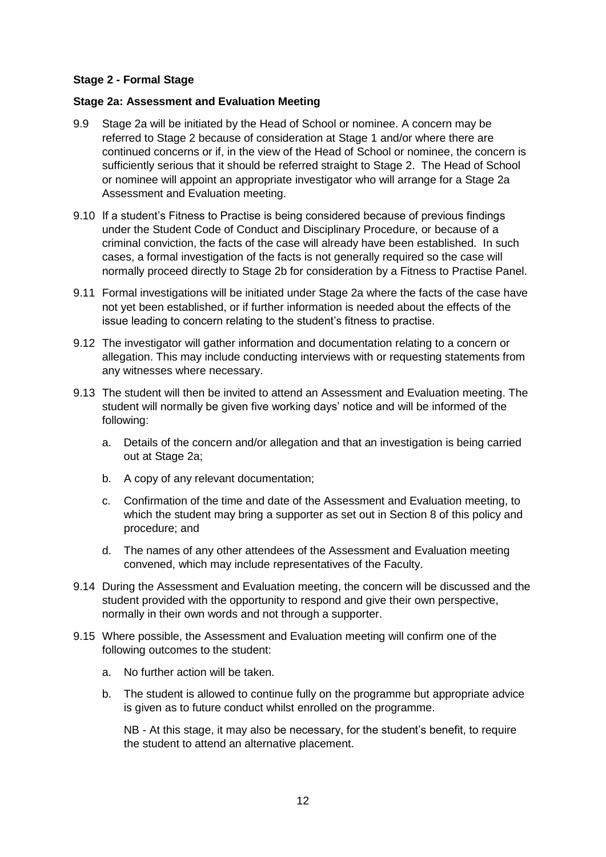## **Stage 2 - Formal Stage**

#### **Stage 2a: Assessment and Evaluation Meeting**

- 9.9 Stage 2a will be initiated by the Head of School or nominee. A concern may be referred to Stage 2 because of consideration at Stage 1 and/or where there are continued concerns or if, in the view of the Head of School or nominee, the concern is sufficiently serious that it should be referred straight to Stage 2. The Head of School or nominee will appoint an appropriate investigator who will arrange for a Stage 2a Assessment and Evaluation meeting.
- 9.10 If a student's Fitness to Practise is being considered because of previous findings under the Student Code of Conduct and Disciplinary Procedure, or because of a criminal conviction, the facts of the case will already have been established. In such cases, a formal investigation of the facts is not generally required so the case will normally proceed directly to Stage 2b for consideration by a Fitness to Practise Panel.
- 9.11 Formal investigations will be initiated under Stage 2a where the facts of the case have not yet been established, or if further information is needed about the effects of the issue leading to concern relating to the student's fitness to practise.
- 9.12 The investigator will gather information and documentation relating to a concern or allegation. This may include conducting interviews with or requesting statements from any witnesses where necessary.
- 9.13 The student will then be invited to attend an Assessment and Evaluation meeting. The student will normally be given five working days' notice and will be informed of the following:
	- a. Details of the concern and/or allegation and that an investigation is being carried out at Stage 2a;
	- b. A copy of any relevant documentation;
	- c. Confirmation of the time and date of the Assessment and Evaluation meeting, to which the student may bring a supporter as set out in Section 8 of this policy and procedure; and
	- d. The names of any other attendees of the Assessment and Evaluation meeting convened, which may include representatives of the Faculty.
- 9.14 During the Assessment and Evaluation meeting, the concern will be discussed and the student provided with the opportunity to respond and give their own perspective, normally in their own words and not through a supporter.
- 9.15 Where possible, the Assessment and Evaluation meeting will confirm one of the following outcomes to the student:
	- a. No further action will be taken.
	- b. The student is allowed to continue fully on the programme but appropriate advice is given as to future conduct whilst enrolled on the programme.

NB - At this stage, it may also be necessary, for the student's benefit, to require the student to attend an alternative placement.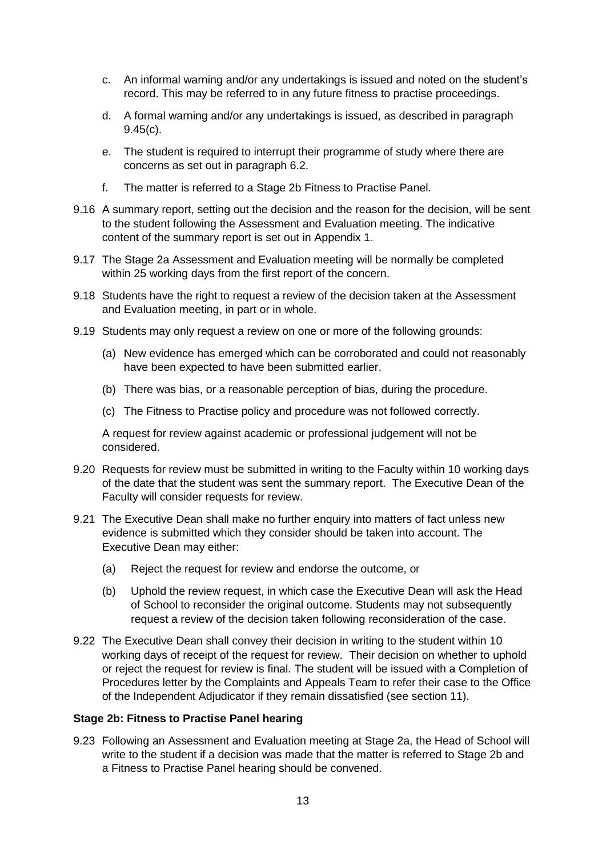- c. An informal warning and/or any undertakings is issued and noted on the student's record. This may be referred to in any future fitness to practise proceedings.
- d. A formal warning and/or any undertakings is issued, as described in paragraph 9.45(c).
- e. The student is required to interrupt their programme of study where there are concerns as set out in paragraph 6.2.
- f. The matter is referred to a Stage 2b Fitness to Practise Panel.
- 9.16 A summary report, setting out the decision and the reason for the decision, will be sent to the student following the Assessment and Evaluation meeting. The indicative content of the summary report is set out in Appendix 1.
- 9.17 The Stage 2a Assessment and Evaluation meeting will be normally be completed within 25 working days from the first report of the concern.
- 9.18 Students have the right to request a review of the decision taken at the Assessment and Evaluation meeting, in part or in whole.
- 9.19 Students may only request a review on one or more of the following grounds:
	- (a) New evidence has emerged which can be corroborated and could not reasonably have been expected to have been submitted earlier.
	- (b) There was bias, or a reasonable perception of bias, during the procedure.
	- (c) The Fitness to Practise policy and procedure was not followed correctly.

A request for review against academic or professional judgement will not be considered.

- 9.20 Requests for review must be submitted in writing to the Faculty within 10 working days of the date that the student was sent the summary report. The Executive Dean of the Faculty will consider requests for review.
- 9.21 The Executive Dean shall make no further enquiry into matters of fact unless new evidence is submitted which they consider should be taken into account. The Executive Dean may either:
	- (a) Reject the request for review and endorse the outcome, or
	- (b) Uphold the review request, in which case the Executive Dean will ask the Head of School to reconsider the original outcome. Students may not subsequently request a review of the decision taken following reconsideration of the case.
- 9.22 The Executive Dean shall convey their decision in writing to the student within 10 working days of receipt of the request for review. Their decision on whether to uphold or reject the request for review is final. The student will be issued with a Completion of Procedures letter by the Complaints and Appeals Team to refer their case to the Office of the Independent Adjudicator if they remain dissatisfied (see section 11).

## **Stage 2b: Fitness to Practise Panel hearing**

9.23 Following an Assessment and Evaluation meeting at Stage 2a, the Head of School will write to the student if a decision was made that the matter is referred to Stage 2b and a Fitness to Practise Panel hearing should be convened.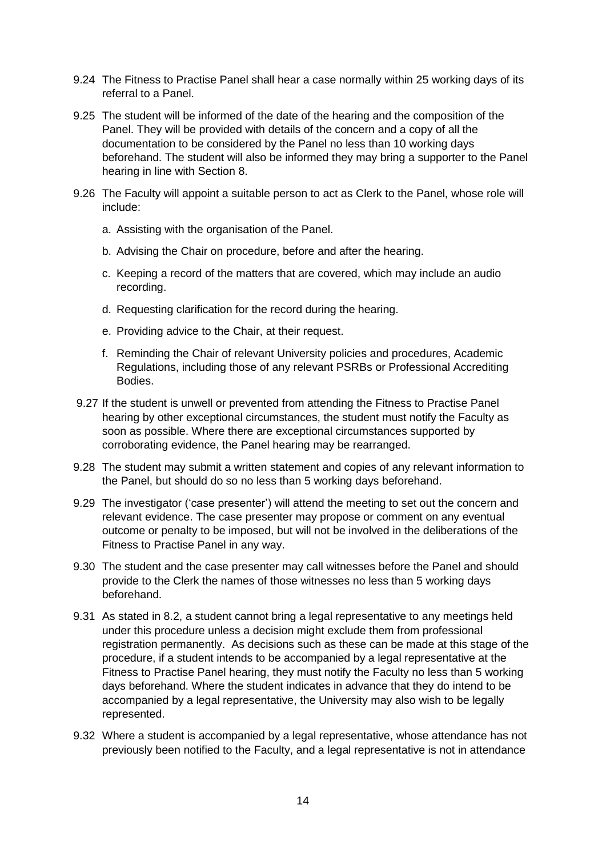- 9.24 The Fitness to Practise Panel shall hear a case normally within 25 working days of its referral to a Panel.
- 9.25 The student will be informed of the date of the hearing and the composition of the Panel. They will be provided with details of the concern and a copy of all the documentation to be considered by the Panel no less than 10 working days beforehand. The student will also be informed they may bring a supporter to the Panel hearing in line with Section 8.
- 9.26 The Faculty will appoint a suitable person to act as Clerk to the Panel, whose role will include:
	- a. Assisting with the organisation of the Panel.
	- b. Advising the Chair on procedure, before and after the hearing.
	- c. Keeping a record of the matters that are covered, which may include an audio recording.
	- d. Requesting clarification for the record during the hearing.
	- e. Providing advice to the Chair, at their request.
	- f. Reminding the Chair of relevant University policies and procedures, Academic Regulations, including those of any relevant PSRBs or Professional Accrediting Bodies.
- 9.27 If the student is unwell or prevented from attending the Fitness to Practise Panel hearing by other exceptional circumstances, the student must notify the Faculty as soon as possible. Where there are exceptional circumstances supported by corroborating evidence, the Panel hearing may be rearranged.
- 9.28 The student may submit a written statement and copies of any relevant information to the Panel, but should do so no less than 5 working days beforehand.
- 9.29 The investigator ('case presenter') will attend the meeting to set out the concern and relevant evidence. The case presenter may propose or comment on any eventual outcome or penalty to be imposed, but will not be involved in the deliberations of the Fitness to Practise Panel in any way.
- 9.30 The student and the case presenter may call witnesses before the Panel and should provide to the Clerk the names of those witnesses no less than 5 working days beforehand.
- 9.31 As stated in 8.2, a student cannot bring a legal representative to any meetings held under this procedure unless a decision might exclude them from professional registration permanently. As decisions such as these can be made at this stage of the procedure, if a student intends to be accompanied by a legal representative at the Fitness to Practise Panel hearing, they must notify the Faculty no less than 5 working days beforehand. Where the student indicates in advance that they do intend to be accompanied by a legal representative, the University may also wish to be legally represented.
- 9.32 Where a student is accompanied by a legal representative, whose attendance has not previously been notified to the Faculty, and a legal representative is not in attendance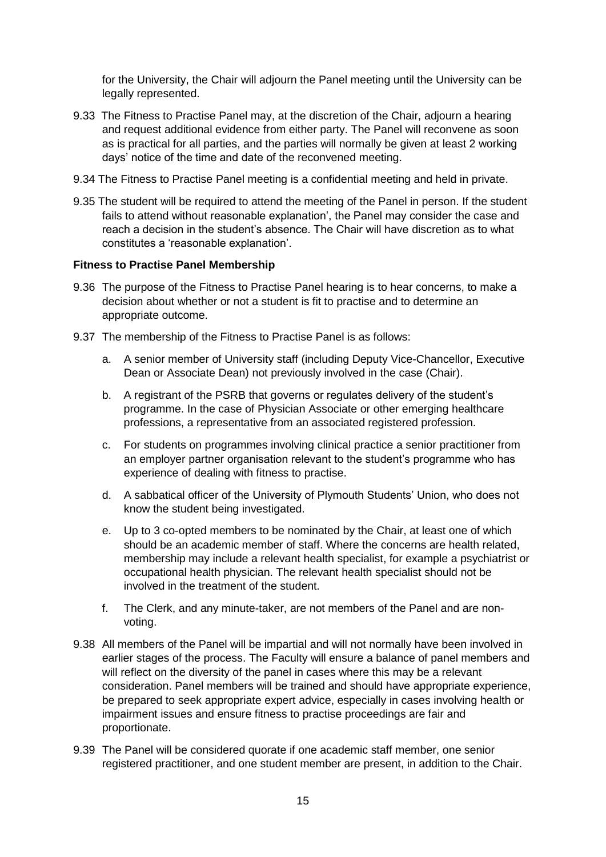for the University, the Chair will adjourn the Panel meeting until the University can be legally represented.

- 9.33 The Fitness to Practise Panel may, at the discretion of the Chair, adjourn a hearing and request additional evidence from either party. The Panel will reconvene as soon as is practical for all parties, and the parties will normally be given at least 2 working days' notice of the time and date of the reconvened meeting.
- 9.34 The Fitness to Practise Panel meeting is a confidential meeting and held in private.
- 9.35 The student will be required to attend the meeting of the Panel in person. If the student fails to attend without reasonable explanation', the Panel may consider the case and reach a decision in the student's absence. The Chair will have discretion as to what constitutes a 'reasonable explanation'.

#### **Fitness to Practise Panel Membership**

- 9.36 The purpose of the Fitness to Practise Panel hearing is to hear concerns, to make a decision about whether or not a student is fit to practise and to determine an appropriate outcome.
- 9.37 The membership of the Fitness to Practise Panel is as follows:
	- a. A senior member of University staff (including Deputy Vice-Chancellor, Executive Dean or Associate Dean) not previously involved in the case (Chair).
	- b. A registrant of the PSRB that governs or regulates delivery of the student's programme. In the case of Physician Associate or other emerging healthcare professions, a representative from an associated registered profession.
	- c. For students on programmes involving clinical practice a senior practitioner from an employer partner organisation relevant to the student's programme who has experience of dealing with fitness to practise.
	- d. A sabbatical officer of the University of Plymouth Students' Union, who does not know the student being investigated.
	- e. Up to 3 co-opted members to be nominated by the Chair, at least one of which should be an academic member of staff. Where the concerns are health related, membership may include a relevant health specialist, for example a psychiatrist or occupational health physician. The relevant health specialist should not be involved in the treatment of the student.
	- f. The Clerk, and any minute-taker, are not members of the Panel and are nonvoting.
- 9.38 All members of the Panel will be impartial and will not normally have been involved in earlier stages of the process. The Faculty will ensure a balance of panel members and will reflect on the diversity of the panel in cases where this may be a relevant consideration. Panel members will be trained and should have appropriate experience, be prepared to seek appropriate expert advice, especially in cases involving health or impairment issues and ensure fitness to practise proceedings are fair and proportionate.
- 9.39 The Panel will be considered quorate if one academic staff member, one senior registered practitioner, and one student member are present, in addition to the Chair.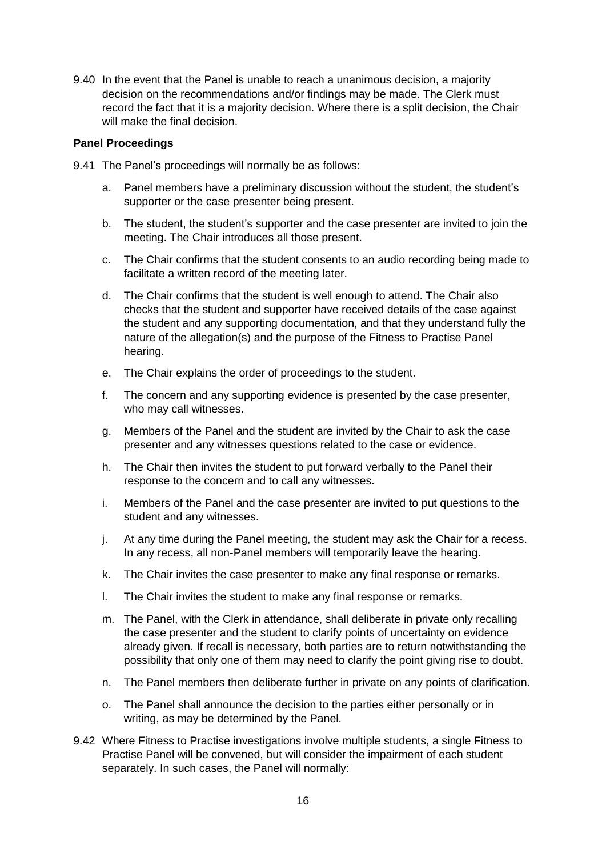9.40 In the event that the Panel is unable to reach a unanimous decision, a majority decision on the recommendations and/or findings may be made. The Clerk must record the fact that it is a majority decision. Where there is a split decision, the Chair will make the final decision.

#### **Panel Proceedings**

- 9.41 The Panel's proceedings will normally be as follows:
	- a. Panel members have a preliminary discussion without the student, the student's supporter or the case presenter being present.
	- b. The student, the student's supporter and the case presenter are invited to join the meeting. The Chair introduces all those present.
	- c. The Chair confirms that the student consents to an audio recording being made to facilitate a written record of the meeting later.
	- d. The Chair confirms that the student is well enough to attend. The Chair also checks that the student and supporter have received details of the case against the student and any supporting documentation, and that they understand fully the nature of the allegation(s) and the purpose of the Fitness to Practise Panel hearing.
	- e. The Chair explains the order of proceedings to the student.
	- f. The concern and any supporting evidence is presented by the case presenter, who may call witnesses.
	- g. Members of the Panel and the student are invited by the Chair to ask the case presenter and any witnesses questions related to the case or evidence.
	- h. The Chair then invites the student to put forward verbally to the Panel their response to the concern and to call any witnesses.
	- i. Members of the Panel and the case presenter are invited to put questions to the student and any witnesses.
	- j. At any time during the Panel meeting, the student may ask the Chair for a recess. In any recess, all non-Panel members will temporarily leave the hearing.
	- k. The Chair invites the case presenter to make any final response or remarks.
	- l. The Chair invites the student to make any final response or remarks.
	- m. The Panel, with the Clerk in attendance, shall deliberate in private only recalling the case presenter and the student to clarify points of uncertainty on evidence already given. If recall is necessary, both parties are to return notwithstanding the possibility that only one of them may need to clarify the point giving rise to doubt.
	- n. The Panel members then deliberate further in private on any points of clarification.
	- o. The Panel shall announce the decision to the parties either personally or in writing, as may be determined by the Panel.
- 9.42 Where Fitness to Practise investigations involve multiple students, a single Fitness to Practise Panel will be convened, but will consider the impairment of each student separately. In such cases, the Panel will normally: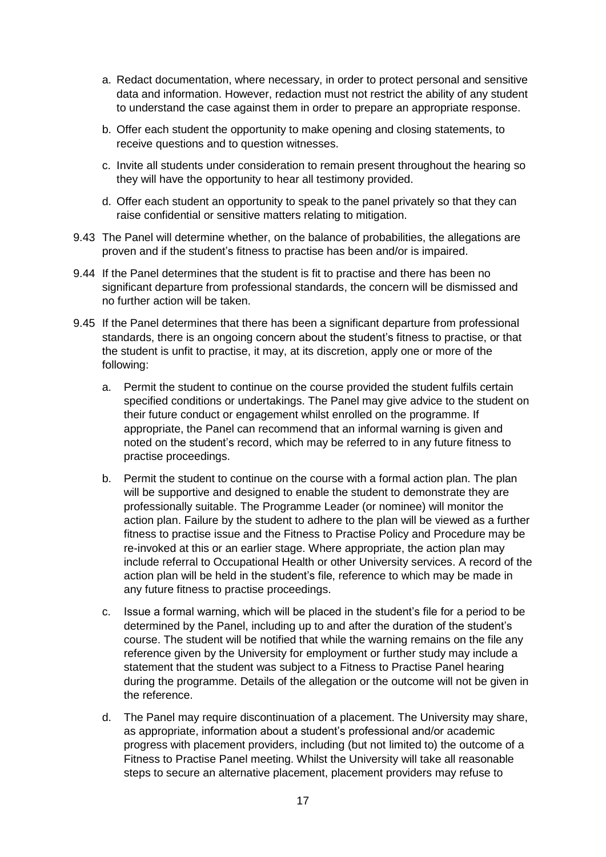- a. Redact documentation, where necessary, in order to protect personal and sensitive data and information. However, redaction must not restrict the ability of any student to understand the case against them in order to prepare an appropriate response.
- b. Offer each student the opportunity to make opening and closing statements, to receive questions and to question witnesses.
- c. Invite all students under consideration to remain present throughout the hearing so they will have the opportunity to hear all testimony provided.
- d. Offer each student an opportunity to speak to the panel privately so that they can raise confidential or sensitive matters relating to mitigation.
- 9.43 The Panel will determine whether, on the balance of probabilities, the allegations are proven and if the student's fitness to practise has been and/or is impaired.
- 9.44 If the Panel determines that the student is fit to practise and there has been no significant departure from professional standards, the concern will be dismissed and no further action will be taken.
- 9.45 If the Panel determines that there has been a significant departure from professional standards, there is an ongoing concern about the student's fitness to practise, or that the student is unfit to practise, it may, at its discretion, apply one or more of the following:
	- a. Permit the student to continue on the course provided the student fulfils certain specified conditions or undertakings. The Panel may give advice to the student on their future conduct or engagement whilst enrolled on the programme. If appropriate, the Panel can recommend that an informal warning is given and noted on the student's record, which may be referred to in any future fitness to practise proceedings.
	- b. Permit the student to continue on the course with a formal action plan. The plan will be supportive and designed to enable the student to demonstrate they are professionally suitable. The Programme Leader (or nominee) will monitor the action plan. Failure by the student to adhere to the plan will be viewed as a further fitness to practise issue and the Fitness to Practise Policy and Procedure may be re-invoked at this or an earlier stage. Where appropriate, the action plan may include referral to Occupational Health or other University services. A record of the action plan will be held in the student's file, reference to which may be made in any future fitness to practise proceedings.
	- c. Issue a formal warning, which will be placed in the student's file for a period to be determined by the Panel, including up to and after the duration of the student's course. The student will be notified that while the warning remains on the file any reference given by the University for employment or further study may include a statement that the student was subject to a Fitness to Practise Panel hearing during the programme. Details of the allegation or the outcome will not be given in the reference.
	- d. The Panel may require discontinuation of a placement. The University may share, as appropriate, information about a student's professional and/or academic progress with placement providers, including (but not limited to) the outcome of a Fitness to Practise Panel meeting. Whilst the University will take all reasonable steps to secure an alternative placement, placement providers may refuse to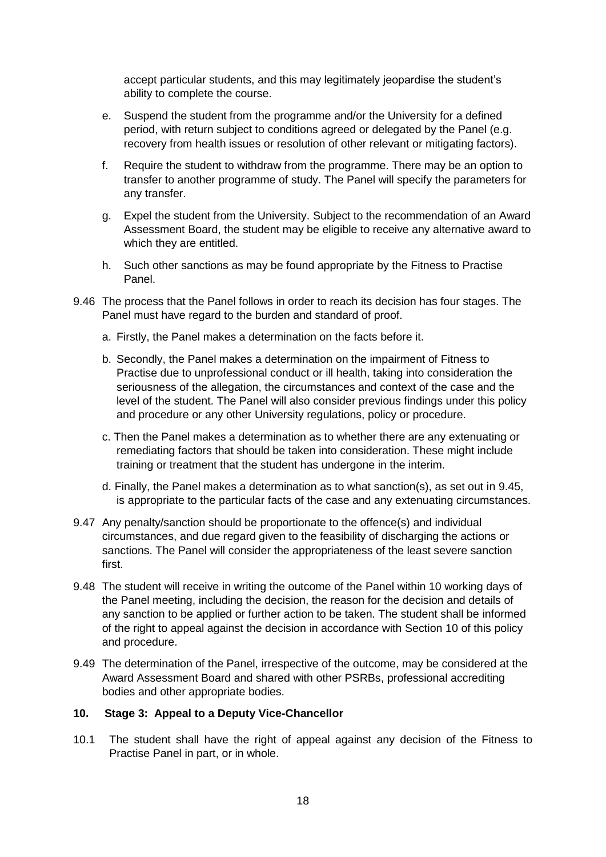accept particular students, and this may legitimately jeopardise the student's ability to complete the course.

- e. Suspend the student from the programme and/or the University for a defined period, with return subject to conditions agreed or delegated by the Panel (e.g. recovery from health issues or resolution of other relevant or mitigating factors).
- f. Require the student to withdraw from the programme. There may be an option to transfer to another programme of study. The Panel will specify the parameters for any transfer.
- g. Expel the student from the University. Subject to the recommendation of an Award Assessment Board, the student may be eligible to receive any alternative award to which they are entitled.
- h. Such other sanctions as may be found appropriate by the Fitness to Practise Panel.
- 9.46 The process that the Panel follows in order to reach its decision has four stages. The Panel must have regard to the burden and standard of proof.
	- a. Firstly, the Panel makes a determination on the facts before it.
	- b. Secondly, the Panel makes a determination on the impairment of Fitness to Practise due to unprofessional conduct or ill health, taking into consideration the seriousness of the allegation, the circumstances and context of the case and the level of the student. The Panel will also consider previous findings under this policy and procedure or any other University regulations, policy or procedure.
	- c. Then the Panel makes a determination as to whether there are any extenuating or remediating factors that should be taken into consideration. These might include training or treatment that the student has undergone in the interim.
	- d. Finally, the Panel makes a determination as to what sanction(s), as set out in 9.45, is appropriate to the particular facts of the case and any extenuating circumstances.
- 9.47 Any penalty/sanction should be proportionate to the offence(s) and individual circumstances, and due regard given to the feasibility of discharging the actions or sanctions. The Panel will consider the appropriateness of the least severe sanction first.
- 9.48 The student will receive in writing the outcome of the Panel within 10 working days of the Panel meeting, including the decision, the reason for the decision and details of any sanction to be applied or further action to be taken. The student shall be informed of the right to appeal against the decision in accordance with Section 10 of this policy and procedure.
- 9.49 The determination of the Panel, irrespective of the outcome, may be considered at the Award Assessment Board and shared with other PSRBs, professional accrediting bodies and other appropriate bodies.

#### **10. Stage 3: Appeal to a Deputy Vice-Chancellor**

10.1 The student shall have the right of appeal against any decision of the Fitness to Practise Panel in part, or in whole.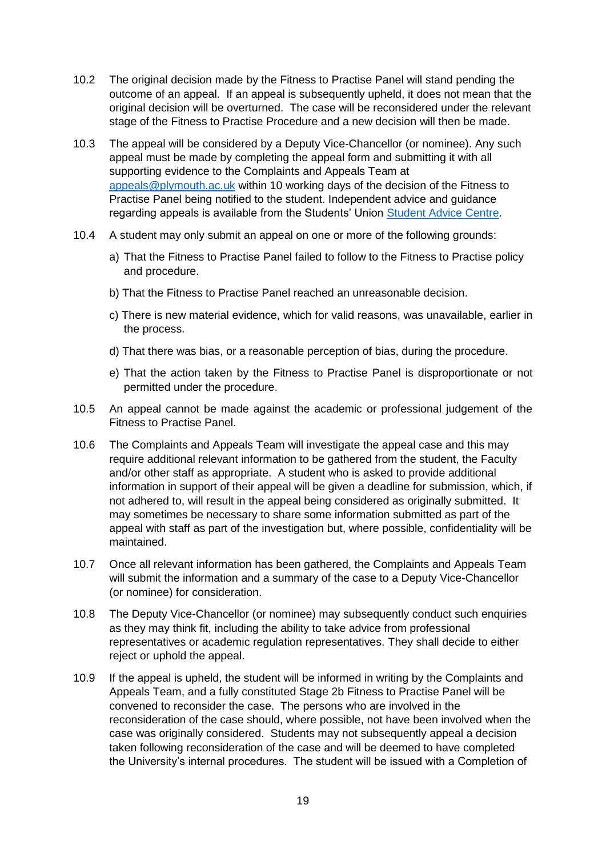- 10.2 The original decision made by the Fitness to Practise Panel will stand pending the outcome of an appeal. If an appeal is subsequently upheld, it does not mean that the original decision will be overturned. The case will be reconsidered under the relevant stage of the Fitness to Practise Procedure and a new decision will then be made.
- 10.3 The appeal will be considered by a Deputy Vice-Chancellor (or nominee). Any such appeal must be made by completing the appeal form and submitting it with all supporting evidence to the Complaints and Appeals Team at [appeals@plymouth.ac.uk](mailto:appeals@plymouth.ac.uk) within 10 working days of the decision of the Fitness to Practise Panel being notified to the student. Independent advice and guidance regarding appeals is available from the Students' Union [Student Advice Centre.](https://www.upsu.com/advice/)
- 10.4 A student may only submit an appeal on one or more of the following grounds:
	- a) That the Fitness to Practise Panel failed to follow to the Fitness to Practise policy and procedure.
	- b) That the Fitness to Practise Panel reached an unreasonable decision.
	- c) There is new material evidence, which for valid reasons, was unavailable, earlier in the process.
	- d) That there was bias, or a reasonable perception of bias, during the procedure.
	- e) That the action taken by the Fitness to Practise Panel is disproportionate or not permitted under the procedure.
- 10.5 An appeal cannot be made against the academic or professional judgement of the Fitness to Practise Panel.
- 10.6 The Complaints and Appeals Team will investigate the appeal case and this may require additional relevant information to be gathered from the student, the Faculty and/or other staff as appropriate. A student who is asked to provide additional information in support of their appeal will be given a deadline for submission, which, if not adhered to, will result in the appeal being considered as originally submitted. It may sometimes be necessary to share some information submitted as part of the appeal with staff as part of the investigation but, where possible, confidentiality will be maintained.
- 10.7 Once all relevant information has been gathered, the Complaints and Appeals Team will submit the information and a summary of the case to a Deputy Vice-Chancellor (or nominee) for consideration.
- 10.8 The Deputy Vice-Chancellor (or nominee) may subsequently conduct such enquiries as they may think fit, including the ability to take advice from professional representatives or academic regulation representatives. They shall decide to either reject or uphold the appeal.
- 10.9 If the appeal is upheld, the student will be informed in writing by the Complaints and Appeals Team, and a fully constituted Stage 2b Fitness to Practise Panel will be convened to reconsider the case. The persons who are involved in the reconsideration of the case should, where possible, not have been involved when the case was originally considered. Students may not subsequently appeal a decision taken following reconsideration of the case and will be deemed to have completed the University's internal procedures. The student will be issued with a Completion of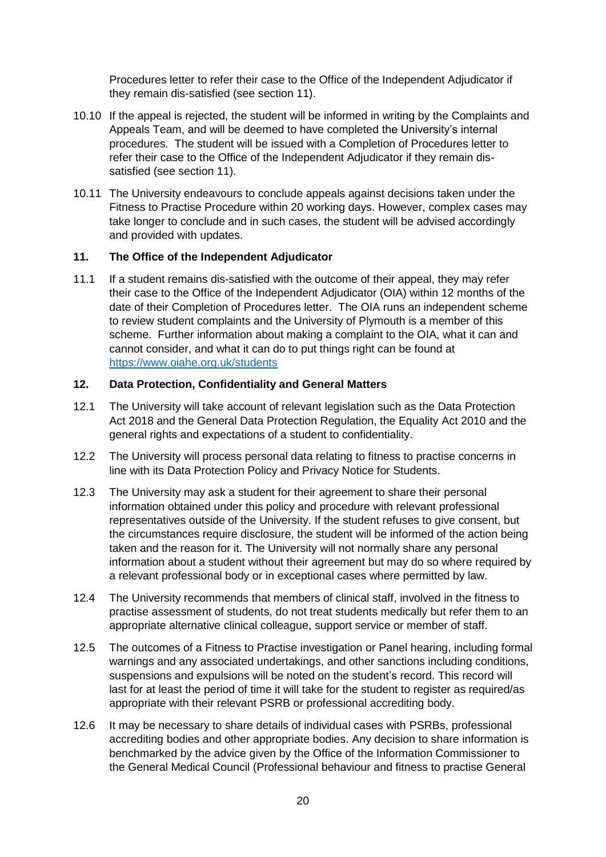Procedures letter to refer their case to the Office of the Independent Adjudicator if they remain dis-satisfied (see section 11).

- 10.10 If the appeal is rejected, the student will be informed in writing by the Complaints and Appeals Team, and will be deemed to have completed the University's internal procedures. The student will be issued with a Completion of Procedures letter to refer their case to the Office of the Independent Adjudicator if they remain dissatisfied (see section 11).
- 10.11 The University endeavours to conclude appeals against decisions taken under the Fitness to Practise Procedure within 20 working days. However, complex cases may take longer to conclude and in such cases, the student will be advised accordingly and provided with updates.

#### **11. The Office of the Independent Adjudicator**

11.1 If a student remains dis-satisfied with the outcome of their appeal, they may refer their case to the Office of the Independent Adjudicator (OIA) within 12 months of the date of their Completion of Procedures letter. The OIA runs an independent scheme to review student complaints and the University of Plymouth is a member of this scheme. Further information about making a complaint to the OIA, what it can and cannot consider, and what it can do to put things right can be found at <https://www.oiahe.org.uk/students>

#### **12. Data Protection, Confidentiality and General Matters**

- 12.1 The University will take account of relevant legislation such as the Data Protection Act 2018 and the General Data Protection Regulation, the Equality Act 2010 and the general rights and expectations of a student to confidentiality.
- 12.2 The University will process personal data relating to fitness to practise concerns in line with its Data Protection Policy and Privacy Notice for Students.
- 12.3 The University may ask a student for their agreement to share their personal information obtained under this policy and procedure with relevant professional representatives outside of the University. If the student refuses to give consent, but the circumstances require disclosure, the student will be informed of the action being taken and the reason for it. The University will not normally share any personal information about a student without their agreement but may do so where required by a relevant professional body or in exceptional cases where permitted by law.
- 12.4 The University recommends that members of clinical staff, involved in the fitness to practise assessment of students, do not treat students medically but refer them to an appropriate alternative clinical colleague, support service or member of staff.
- 12.5 The outcomes of a Fitness to Practise investigation or Panel hearing, including formal warnings and any associated undertakings, and other sanctions including conditions, suspensions and expulsions will be noted on the student's record. This record will last for at least the period of time it will take for the student to register as required/as appropriate with their relevant PSRB or professional accrediting body.
- 12.6 It may be necessary to share details of individual cases with PSRBs, professional accrediting bodies and other appropriate bodies. Any decision to share information is benchmarked by the advice given by the Office of the Information Commissioner to the General Medical Council (Professional behaviour and fitness to practise General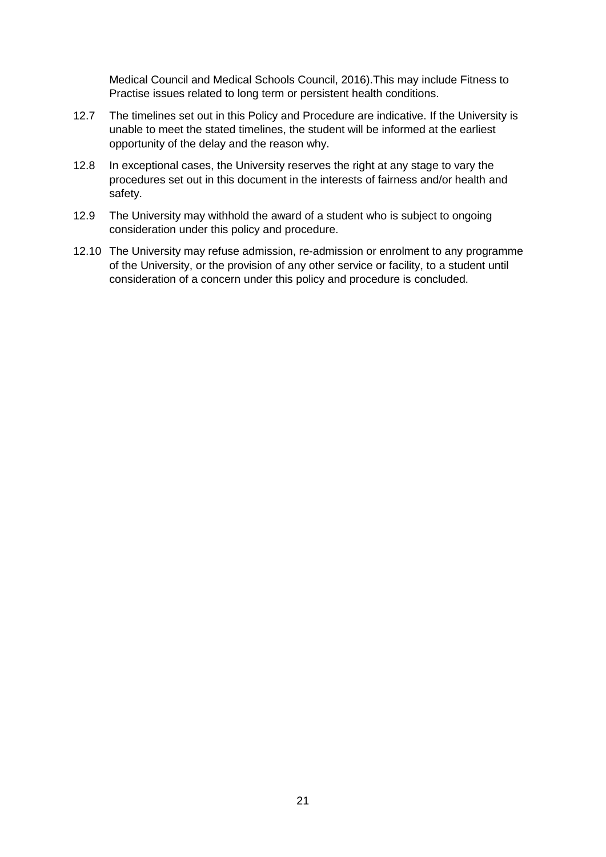Medical Council and Medical Schools Council, 2016).This may include Fitness to Practise issues related to long term or persistent health conditions.

- 12.7 The timelines set out in this Policy and Procedure are indicative. If the University is unable to meet the stated timelines, the student will be informed at the earliest opportunity of the delay and the reason why.
- 12.8 In exceptional cases, the University reserves the right at any stage to vary the procedures set out in this document in the interests of fairness and/or health and safety.
- 12.9 The University may withhold the award of a student who is subject to ongoing consideration under this policy and procedure.
- 12.10 The University may refuse admission, re-admission or enrolment to any programme of the University, or the provision of any other service or facility, to a student until consideration of a concern under this policy and procedure is concluded.